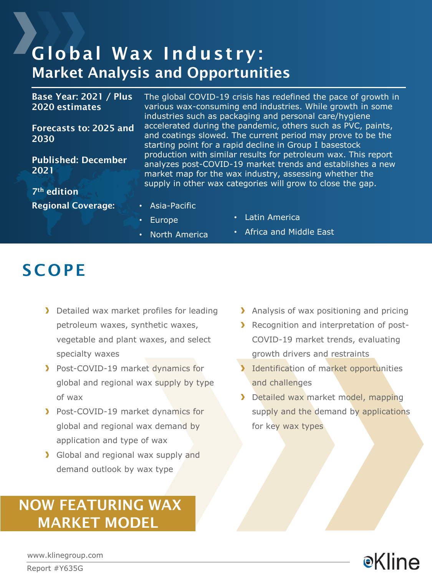### Global Wax Industry: Market Analysis and Opportunities

Base Year: 2021 / Plus 2020 estimates

Forecasts to: 2025 and 2030

Published: December 2021

7th edition Regional Coverage: • Asia-Pacific

- The global COVID-19 crisis has redefined the pace of growth in various wax-consuming end industries. While growth in some industries such as packaging and personal care/hygiene accelerated during the pandemic, others such as PVC, paints, and coatings slowed. The current period may prove to be the starting point for a rapid decline in Group I basestock production with similar results for petroleum wax. This report analyzes post-COVID-19 market trends and establishes a new market map for the wax industry, assessing whether the supply in other wax categories will grow to close the gap.
- 
- Europe
- Latin America
- North America
- Africa and Middle East

### **SCOPE**

- Detailed wax market profiles for leading petroleum waxes, synthetic waxes, vegetable and plant waxes, and select specialty waxes
- **Post-COVID-19 market dynamics for** global and regional wax supply by type of wax
- Post-COVID-19 market dynamics for global and regional wax demand by application and type of wax
- Solobal and regional wax supply and demand outlook by wax type

### NOW FEATURING WAX MARKET MODEL

- > Analysis of wax positioning and pricing
- **Recognition and interpretation of post-**COVID-19 market trends, evaluating growth drivers and restraints
- Identification of market opportunities and challenges
- Detailed wax market model, mapping supply and the demand by applications for key wax types



www.klinegroup.com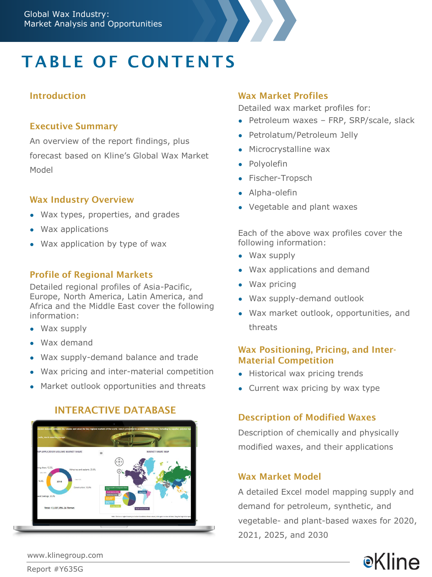# **TABLE OF CONTENTS**

#### Introduction

#### Executive Summary

An overview of the report findings, plus forecast based on Kline's Global Wax Market Model

#### Wax Industry Overview

- Wax types, properties, and grades
- Wax applications
- Wax application by type of wax

#### Profile of Regional Markets

Detailed regional profiles of Asia-Pacific, Europe, North America, Latin America, and Africa and the Middle East cover the following information:

- Wax supply
- Wax demand
- Wax supply-demand balance and trade
- Wax pricing and inter-material competition
- Market outlook opportunities and threats

### INTERACTIVE DATABASE



#### Wax Market Profiles

Detailed wax market profiles for:

- Petroleum waxes FRP, SRP/scale, slack
- Petrolatum/Petroleum Jelly
- Microcrystalline wax
- Polyolefin
- Fischer-Tropsch
- Alpha-olefin
- Vegetable and plant waxes

Each of the above wax profiles cover the following information:

- Wax supply
- Wax applications and demand
- Wax pricing
- Wax supply-demand outlook
- Wax market outlook, opportunities, and threats

#### Wax Positioning, Pricing, and Inter-Material Competition

- Historical wax pricing trends
- Current wax pricing by wax type

### Description of Modified Waxes

Description of chemically and physically modified waxes, and their applications

#### Wax Market Model

A detailed Excel model mapping supply and demand for petroleum, synthetic, and vegetable- and plant-based waxes for 2020, 2021, 2025, and 2030



www.klinegroup.com